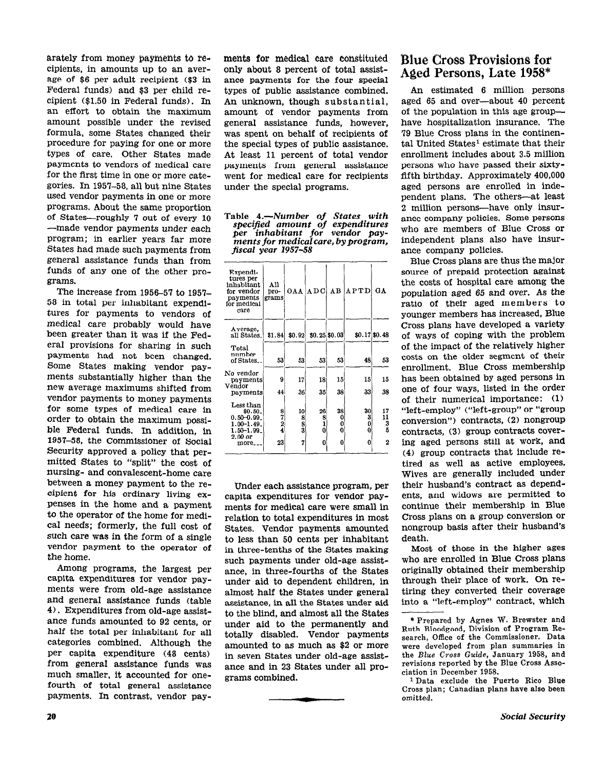arately from money payments to recipients, in amounts up to an average of \$6 per adult recipient (\$3 in Federal funds) and \$3 per child recipient (\$1.50 in Federal funds). In an effort to obtain the maximum amount possible under the revised formula, some States changed their procedure for paying for one or more types of care. Other States made payments to vendors of medical care for the first time in one or more categories. In 195'7-58, all but nine States used vendor payments in one or more programs. About the same proportion of States-roughly 7 out of every 10 -made vendor payments under each program; in earlier years far more States had made such payments from general assistance funds than from funds of any one of the other programs.

The increase from 1956-57 to 1957-58 in total per inhabitant expenditures for payments to vendors of medical care probably would have been greater than it was if the Federal provisions for sharing in such Payments had not been changed. Some States making vendor payments substantially higher than the new average maximums shifted from vendor payments to money payments for some types of medical care in order to obtain the maximum possible Federal funds. In addition, in 1957-58, the Commissioner of Social Security approved a policy that permitted States to "split" the cost of nursing- and convalescent-home care between a money payment to the recipient for his ordinary living expenses in the home and a payment to the operator of the home for medical needs; formerly, the full cost of such care was in the form of a single vendor payment to the operator of the home.

Among programs, the largest per capita expenditures for vendor payments were from old-age assistance and general assistance funds (table 4). Expenditures from old-age assistance funds amounted to 92 cents, or half the total per inhabitant for all categories combined. Although the per capita expenditure (48 cents) from general assistance funds was much smaller, it accounted for onefourth of total general assistance payments. In contrast, vendor payments for medicel care constituted only about 8 percent of total assistance payments for the four special types of public assistance combined. An unknown, though substantial, amount of vendor payments from general assistance funds, however, was spent on behalf of recipients of the special types of public assistance. At least 11 percent of total vendor payments from general assistance went for medical care for recipients under the special programs.

Table 4.-Number of States with specified amount of expenditures per inhabitant for vendor payments for medical care, by program, fiscal year 1957-58

| Expendi-<br>tures per<br>inhabitant<br>for vendor<br>payments<br>for medical<br>сате       | All<br>pro-<br>grams     |                                                        |                                                           |                               | OAA ADC AB APTD        | GА                      |
|--------------------------------------------------------------------------------------------|--------------------------|--------------------------------------------------------|-----------------------------------------------------------|-------------------------------|------------------------|-------------------------|
| Average.<br>all States.                                                                    | \$1.84]                  | \$0.92                                                 |                                                           | \$0.25\$6.03                  |                        | \$0.17 \$0.48           |
| Total<br>nnmber<br>of States.                                                              | 53                       | 53                                                     | 53                                                        | 53                            | 48                     | 53                      |
| No vendor<br>payments<br>Vendor                                                            | 9                        | 17                                                     | 18                                                        | 15                            | 15                     | 15                      |
| payments                                                                                   | 44                       | 36                                                     | 35                                                        | 38                            | 33                     | 38                      |
| Less than<br>\$0.50.<br>$0.50 - 0.99$<br>1.00–1.49.<br>$1.50 - 1.99$<br>2.00 or<br>more__. | $\frac{8}{7}$<br>4<br>23 | 10<br>$\begin{smallmatrix}8\8\3\end{smallmatrix}$<br>7 | 26<br>$\begin{smallmatrix}8\1\end{smallmatrix}$<br>0<br>0 | 38<br>0<br>$\bf{0}$<br>0<br>O | 30<br>3<br>O<br>0<br>0 | 17<br>11<br>3<br>5<br>2 |
|                                                                                            |                          |                                                        |                                                           |                               |                        |                         |

Under each assistance program, per capita expenditures for vendor payments for medical care were small in relation to total expenditures in most States. Vendor payments amounted to less than 50 cents per inhabitant in three-tenths of the States making such payments under old-age assistance, in three-fourths of the States under aid to dependent children, in almost half the States under general assistance, in all the States under aid to the blind, and almost all the States under aid to the permanently and totally disabled. Vendor payments amounted to as much as \$2 or more in seven States under old-age assistance and in 23 States under all programs combined.

-

## Blue Cross Provisions for Aged Persons, Late 1958"

An estimated 6 million persons aged 65 and over-about 40 percent of the population in this age grouphave hospitalization insurance. The '79 Blue Cross plans in the continental United States<sup>1</sup> estimate that their enrollment includes about 3.5 million persons who have passed their sixtyfifth birthday. Approximately 400,000 aged persons are enrolled in independent plans, The others-at least 2 million persons-have only insurance company policies. Some persons who are members of Blue Cross or independent plans also have insurante company policies.

Blue Cross plans are thus the major source of prepaid protection against the costs of hospital care among the population aged 65 and over. As the ratio of their aged members to younger members has increased, Blue Cross plans have developed a variety of ways of coping with the problem of the impact of the relatively higher costs on the older segment of their enrollment. Blue Cross membership has been obtained by aged persons in one of four ways, listed in the order of their numerical importance: (1) "left-employ" ("left-group" or "group conversion") contracts, (2) nongroup contracts, (3) group contracts covering aged persons still at work, and (4) group contracts that include retired as well as active employees. Wives are generally included under their husband's contract as dependents, and widows are permitted to continue their membership in Blue Cross plans on a group conversion or nongroup basis after their husband's death.

Most of those in the higher ages who are enrolled in Blue Cross plans originally obtained their membership through their place of work. On retiring they converted their coverage into a "left-employ" contract, which

<sup>\*</sup> Prepared by Agnes W. Brewster and Ruth Bloodgood, Division of Program Research, Office of the Commissioner. Data were developed from plan summaries in the Blue Cross Guide, January 1958, and revisions reported by the Blue Cross Association in December 1958.

<sup>1</sup> Data exclude the Puerto Rico Blue Cross plan; Canadian plans have also been omitted.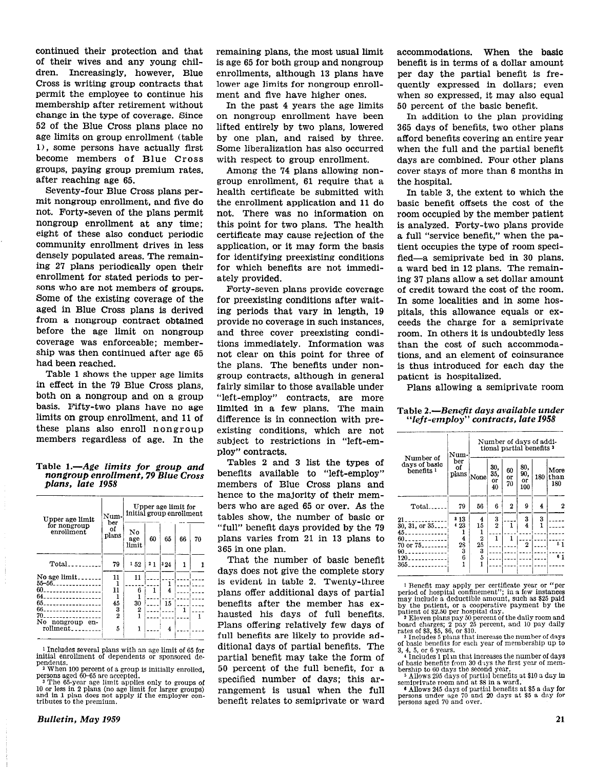continued their protection and that of their wives and any young children. Increasingly, however, Blue Cross is writing group contracts that permit the employee to continue his membership after retirement without change in the type of coverage. Since 52 of the Blue Cross plans place no age limits on group enrollment (table l), some persons have actually first become members of Blue Cross groups, paying group premium rates, after reaching age 65.

Seventy-four Blue Cross plans permit nongroup enrollment, and five do not. Forty-seven of the plans permit nongroup enrollment at any time; eight of these also conduct periodic community enrollment drives in less densely populated areas. The remaining 2'7 plans periodically open their enrollment for stated periods to persons who are not members of groups. Some of the existing coverage of the aged in Blue Cross plans is derived from a nongroup contract obtained before the age limit on nongroup coverage was enforceable; membership was then continued after age 65 had been reached.

Table 1 shows the upper age limits in effect in the 79 Blue Cross plans, both on a nongroup and on a group basis. Fifty-two plans have no age limits on group enrollment, and 11 of these plans also enroll nongroup members regardless of age. In the

### Table  $1 - A$ ge limits for group and nongroup enrollment, 79 Blue Cross plans, late 1958

| Upper age limit                                  | Num-<br>ber | Upper age limit for<br>initial group enrollment |    |     |    |    |  |
|--------------------------------------------------|-------------|-------------------------------------------------|----|-----|----|----|--|
| for nongroup<br>enrollment                       | of<br>plans | Nο<br>age<br>limit                              | 60 | 65  | 66 | 70 |  |
|                                                  | 79          | 152                                             | 21 | 324 | 1  |    |  |
| No age $limit$<br>55-56                          | 11          | 11                                              |    | 1   |    |    |  |
| 60<br>64                                         | 11          | 6                                               | 1  | 4   |    |    |  |
|                                                  | 45          | 30                                              |    | 15  |    |    |  |
| 66<br>70.                                        | 3<br>2      | 2                                               |    |     | 1  |    |  |
| No nongroup<br>en-<br>$rollment$ <sub>----</sub> | 5           |                                                 |    | 4   |    |    |  |

1 Includes several plans with an age limit of 65 for initial enrollment of dependents or sponsored de-

pendents. 2 When 100 percent of a group is initially enrolled, persons aged 60-65 are accepted.

The 65-year age limit applies only to groups of 10 or less in 2 plans (no age limit for larger groups) and in 1 plan does not apply if the employer contributes to the premium.

remaining plans, the most usual limit is age 65 for both group and nongroup enrollments, although 13 plans have lower age limits for nongroup enrollment and five have higher ones.

In the past 4 years the age limits on nongroup enrollment have been lifted entirely by two plans, lowered by one plan, and raised by three. Some liberalization has also occurred with respect to group enrollment.

Among the '74 plans allowing nongroup enrollment, 61 require that a health certificate be submitted with the enrollment application and 11 do not. There was no information on this point for two plans. The health certificate may cause rejection of the application, or it may form the basis for identifying preexisting conditions for which benefits are not immediately provided.

Forty-seven plans provide coverage for preexisting conditions after waiting periods that vary in length, 19 provide no coverage in such instances, and three cover preexisting conditions immediately. Information was not clear on this point for three of the plans. The benefits under nongroup contracts, although in general fairly similar to those available under "left-employ" contracts, are more limited in a few plans. The main difference is in connection with preexisting conditions, which are not subject to restrictions in "left-employ" contracts.

Tables 2 and 3 list the types of benefits available to "left-employ" members of Blue Cross plans and hence to the majority of their members who are aged 65 or over. As the tables show, the number of basic or "full" benefit days provided by the 79 plans varies from 21 in 13 plans to 365 in one plan.

That the number of basic benefit days does not give the complete story is evident in table 2. Twenty-three plans offer additional days of partial benefits after the member has exhausted his days of full benefits. Plans offering relatively few days of full benefits are likely to provide additional days of partial benefits. The partial benefit may take the form of 50 percent of the full benefit, for a specified number of days; this arrangement is usual when the full benefit relates to semiprivate or ward accommodations. When the basic benefit is in terms of a dollar amount per day the partial benefit is frequently expressed in dollars; even when so expressed, it may also equal 50 percent of the basic benefit.

In addition to the plan providing 365 days of benefits, two other plans afford benefits covering an entire year when the full and the partial benefit days are combined. Four other plans cover stays of more than 6 months in the hospital.

In table 3, the extent to which the basic benefit offsets the cost of the room occupied by the member patient is analyzed. Forty-two plans provide a full "service benefit," when the patient occupies the type of room specified-a semiprivate bed in 30 plans, a ward bed in 12 plans. The remaining 37 plans allow a set dollar amount of credit toward the cost of the room. In some localities and in some hospitals, this allowance equals or exceeds the charge for a semiprivate room. In others it is undoubtedly less than the cost of such accommodations, and an element of coinsurance is thus introduced for each day the patient is hospitalized.

Plans allowing a semiprivate room

Table 2.-Benefit days available under "left-employ" contracts, late 1958

|                                                     | Num-<br>ber<br>οf<br>plans         | Number of days of addi-<br>tional partial benefits <sup>3</sup> |                        |                |                              |               |                     |
|-----------------------------------------------------|------------------------------------|-----------------------------------------------------------------|------------------------|----------------|------------------------------|---------------|---------------------|
| Number of<br>days of basic<br>benefits <sup>1</sup> |                                    | None                                                            | 30.<br>35.<br>or<br>40 | 60<br>or<br>70 | 80.<br>90.<br>or<br>100      | 180           | More<br>than<br>180 |
| Total.                                              | 79                                 | 56                                                              | 6                      | 2              | 9                            | 4             | 2                   |
| 21<br>$30, 31,$ or $35$<br>45.                      | 813<br>423                         | 4<br>15                                                         | $\frac{3}{2}$          | 1              | 3<br>$\overline{\mathbf{4}}$ | $\frac{3}{1}$ |                     |
| 60.<br>$70$ or $75$ -----<br>90.                    | $\overline{\mathbf{4}}$<br>28<br>3 | $\overline{2}$<br>25<br>3                                       | 1                      | 1              | 2                            |               | 51                  |
| 120.<br>365.                                        | 6                                  | $\overline{5}$                                                  |                        |                |                              |               | 6 <sub>1</sub>      |

<sup>1</sup> Benefit may apply per certificate year or "per period of hospital confinement"; in a few instances may include a deductible amount, such as \$25 paid

by the patient, or a cooperative payment by the<br>patient of \$2.50 per hospital day.<br>The patient of the daily room and<br>board charges; 2 pay 25 percent, and 10 pay daily<br>rates of \$3, \$5, 66, or \$10.<br>The 3 Includes 5 plans th

of basic benefits for each year of membership up to

3, 4, 5, or G years. 4 Includes 1 plm that increases the number of days of basic benefits from 30 days the first year of membership to 60 days the second year.

5 Allows 295 days of park1 benefits at \$10 a day in semiprivate room and at \$8 in a ward.

6 Allows 245 days of partial benefits at \$5 a day for persons under age i0 and 20 days at \$5 a day for persons aged 70 and over.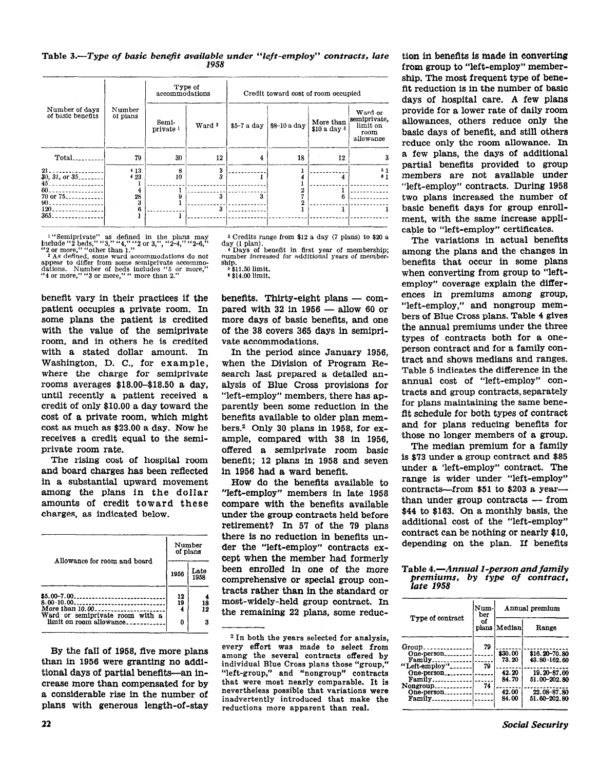### Table 3.-Type of basic benefit available under "left-employ" contracts, late 1958

|                                                                                                        |                    | accommodations                | Type of           | Credit toward cost of room occupied |              |                           |                                                          |
|--------------------------------------------------------------------------------------------------------|--------------------|-------------------------------|-------------------|-------------------------------------|--------------|---------------------------|----------------------------------------------------------|
| Number of days<br>of basic benefits                                                                    | Number<br>of plans | Semi-<br>private <sup>1</sup> | Ward <sup>2</sup> | \$5-7 a day                         | \$8-10 a day | More than<br>\$10 a day 3 | Ward or<br>semiprivate.<br>limit on<br>room<br>allowance |
| Total.                                                                                                 | 79                 | 30                            | 12                | 4                                   | 18           | 12                        | з                                                        |
| 21.<br>$30, 31,$ or $35$ ,<br>$45 -$<br>-------------                                                  | 413<br>423         | 8<br>10                       | 3<br>3            |                                     |              |                           | 51<br>81                                                 |
| $60$ ------------------<br>$70$ or $75$ <sub>25</sub> ------------<br>$90 - 1 - 1 - 1 - 1 - 1 - 1 - 1$ | 4<br>28<br>3       | 9                             | 3                 | я                                   |              |                           |                                                          |
| --<br>-----------<br>120.<br>365                                                                       | 6                  |                               | 3                 |                                     |              |                           |                                                          |

<sup>1</sup> "Semiprivate" as defined in the plans may include "2 beds," "3," "4," "2 or 3,", "2-4," "2-6," or more," "other than 1."<br>
"2 or more," "other than 1."<br>
" As defined, some ward accommodations do not appear to differ fr

benefit vary in their practices if the patient occupies a private room. In some plans the patient is credited with the value of the semiprivate room, and in others he is credited with a stated dollar amount. In Washington, D. C., for example, where the charge for semiprivate rooms averages \$18.00-\$18.50 a day. until recently a patient received a credit of only \$10.00 a day toward the cost of a private room, which might cost as much as \$23.00 a day. Now he receives a credit equal to the semiprivate room rate.

The rising cost of hospital room and board charges has been reflected in a substantial upward movement among the plans in the dollar amounts of credit toward these charges, as indicated below.

|                                                                                                             |      | Number<br>of plans |  |
|-------------------------------------------------------------------------------------------------------------|------|--------------------|--|
| Allowance for room and board                                                                                | 1956 | Late<br>1958       |  |
| $$5.00-7.00$<br>8.00-10.00<br>More than 10.00<br>Ward or semiprivate room with a<br>limit on room allowance |      | 18<br>12<br>3      |  |

By the fall of 1958, five more plans than in 1956 were granting no additional days of partial benefits—an increase more than compensated for by a considerable rise in the number of plans with generous length-of-stay

<sup>3</sup> Credits range from \$12 a day (7 plans) to \$20 a day (1 plan).

Days of benefit in first year of membership;<br>number increased for additional years of membership.

\$11.50 limit. <sup>6</sup>\$14.00 limit.

benefits. Thirty-eight plans - compared with  $32$  in  $1956$  - allow 60 or more days of basic benefits, and one of the 38 covers 365 days in semiprivate accommodations.

In the period since January 1956, when the Division of Program Research last prepared a detailed analysis of Blue Cross provisions for "left-employ" members, there has apparently been some reduction in the benefits available to older plan members.<sup>2</sup> Only 30 plans in 1958, for example, compared with 38 in 1956. offered a semiprivate room basic benefit; 12 plans in 1958 and seven in 1956 had a ward benefit.

How do the benefits available to "left-employ" members in late 1958 compare with the benefits available under the group contracts held before retirement? In 57 of the 79 plans there is no reduction in benefits under the "left-employ" contracts except when the member had formerly been enrolled in one of the more comprehensive or special group contracts rather than in the standard or most-widely-held group contract. In the remaining 22 plans, some reduc-

tion in benefits is made in converting from group to "left-employ" membership. The most frequent type of benefit reduction is in the number of basic days of hospital care. A few plans provide for a lower rate of daily room allowances, others reduce only the basic days of benefit, and still others reduce only the room allowance. In a few plans, the days of additional partial benefits provided to group members are not available under "left-employ" contracts. During 1958 two plans increased the number of basic benefit days for group enrollment, with the same increase applicable to "left-employ" certificates.

The variations in actual benefits among the plans and the changes in benefits that occur in some plans when converting from group to "leftemploy" coverage explain the differences in premiums among group, "left-employ," and nongroup members of Blue Cross plans. Table 4 gives the annual premiums under the three types of contracts both for a oneperson contract and for a family contract and shows medians and ranges. Table 5 indicates the difference in the annual cost of "left-employ" contracts and group contracts, separately for plans maintaining the same benefit schedule for both types of contract and for plans reducing benefits for those no longer members of a group.

The median premium for a family is \$73 under a group contract and \$85 under a 'left-employ" contract. The range is wider under "left-employ" contracts—from  $$51$  to  $$203$  a year than under group contracts - from \$44 to \$163. On a monthly basis, the additional cost of the "left-employ" contract can be nothing or nearly \$10. depending on the plan. If benefits

### Table 4.-Annual 1-person and family premiums, by type of contract, late 1958

|                                                  | Num-<br>ber | Annual premium   |                               |  |  |
|--------------------------------------------------|-------------|------------------|-------------------------------|--|--|
| Type of contract                                 | οf          | plans   Median   | Range                         |  |  |
| Group<br>One-person.<br>Family<br>"Left-employ". | 79<br>79    | \$30.00<br>73.20 | \$16.20-70.80<br>43.80-162.60 |  |  |
| One-person<br>Family<br>Nongroup                 | 74          | 42.20<br>84.70   | 19.20-87.00<br>51.00-202.80   |  |  |
| One-person_<br>Family                            |             | 42.00<br>84.00   | 22.08-87.80<br>51.60-202.80   |  |  |

<sup>&</sup>lt;sup>2</sup> In both the years selected for analysis, every effort was made to select from among the several contracts offered by individual Blue Cross plans those "group," "left-group," and "nongroup" contracts that were most nearly comparable. It is nevertheless possible that variations were inadvertently introduced that make the reductions more apparent than real.